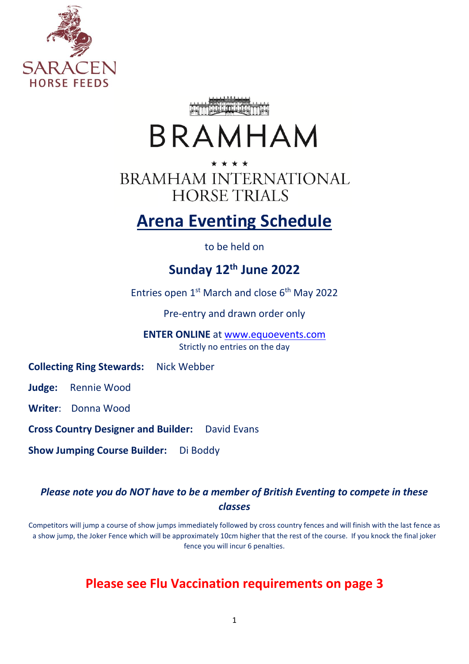



# BRAMHAM

\* \* \* \* **BRAMHAM INTERNATIONAL HORSE TRIALS** 

# **Arena Eventing Schedule**

to be held on

# **Sunday 12 th June 2022**

Entries open 1<sup>st</sup> March and close 6<sup>th</sup> May 2022

Pre-entry and drawn order only

**ENTER ONLINE** at [www.equoevents.com](http://www.equoevents.com/) Strictly no entries on the day

**Collecting Ring Stewards:** Nick Webber

**Judge:** Rennie Wood

**Writer**: Donna Wood

**Cross Country Designer and Builder:** David Evans

**Show Jumping Course Builder:** Di Boddy

### *Please note you do NOT have to be a member of British Eventing to compete in these classes*

Competitors will jump a course of show jumps immediately followed by cross country fences and will finish with the last fence as a show jump, the Joker Fence which will be approximately 10cm higher that the rest of the course. If you knock the final joker fence you will incur 6 penalties.

### **Please see Flu Vaccination requirements on page 3**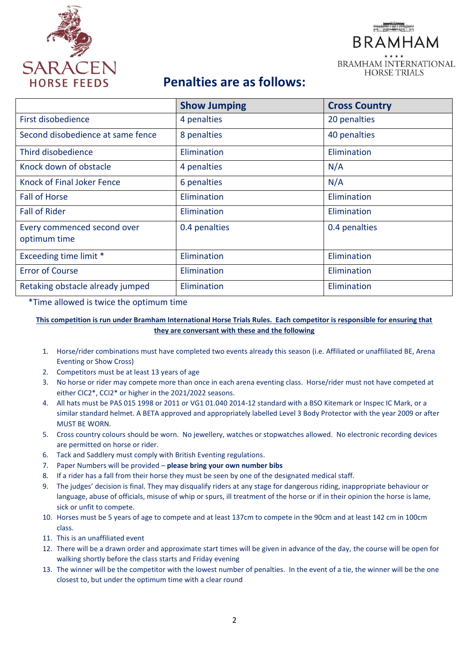

# **BRAMHAM BRAMHAM INTERNATIONAL HORSE TRIALS**

## **Penalties are as follows:**

|                                             | <b>Show Jumping</b> | <b>Cross Country</b> |
|---------------------------------------------|---------------------|----------------------|
| First disobedience                          | 4 penalties         | 20 penalties         |
| Second disobedience at same fence           | 8 penalties         | 40 penalties         |
| Third disobedience                          | Elimination         | Elimination          |
| Knock down of obstacle                      | 4 penalties         | N/A                  |
| Knock of Final Joker Fence                  | 6 penalties         | N/A                  |
| <b>Fall of Horse</b>                        | Elimination         | Elimination          |
| <b>Fall of Rider</b>                        | Elimination         | Elimination          |
| Every commenced second over<br>optimum time | 0.4 penalties       | 0.4 penalties        |
| Exceeding time limit *                      | Elimination         | Elimination          |
| <b>Error of Course</b>                      | Elimination         | Elimination          |
| Retaking obstacle already jumped            | Elimination         | Elimination          |

\*Time allowed is twice the optimum time

**This competition is run under Bramham International Horse Trials Rules. Each competitor is responsible for ensuring that they are conversant with these and the following**

- 1. Horse/rider combinations must have completed two events already this season (i.e. Affiliated or unaffiliated BE, Arena Eventing or Show Cross)
- 2. Competitors must be at least 13 years of age
- 3. No horse or rider may compete more than once in each arena eventing class. Horse/rider must not have competed at either CIC2\*, CCI2\* or higher in the 2021/2022 seasons.
- 4. All hats must be PAS 015 1998 or 2011 or VG1 01.040 2014-12 standard with a BSO Kitemark or Inspec IC Mark, or a similar standard helmet. A BETA approved and appropriately labelled Level 3 Body Protector with the year 2009 or after MUST BE WORN.
- 5. Cross country colours should be worn. No jewellery, watches or stopwatches allowed. No electronic recording devices are permitted on horse or rider.
- 6. Tack and Saddlery must comply with British Eventing regulations.
- 7. Paper Numbers will be provided **please bring your own number bibs**
- 8. If a rider has a fall from their horse they must be seen by one of the designated medical staff.
- 9. The judges' decision is final. They may disqualify riders at any stage for dangerous riding, inappropriate behaviour or language, abuse of officials, misuse of whip or spurs, ill treatment of the horse or if in their opinion the horse is lame, sick or unfit to compete.
- 10. Horses must be 5 years of age to compete and at least 137cm to compete in the 90cm and at least 142 cm in 100cm class.
- 11. This is an unaffiliated event
- 12. There will be a drawn order and approximate start times will be given in advance of the day, the course will be open for walking shortly before the class starts and Friday evening
- 13. The winner will be the competitor with the lowest number of penalties. In the event of a tie, the winner will be the one closest to, but under the optimum time with a clear round